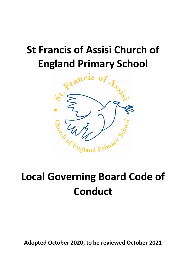# **St Francis of Assisi Church of England Primary School**



# **Local Governing Board Code of Conduct**

**Adopted October 2020, to be reviewed October 2021**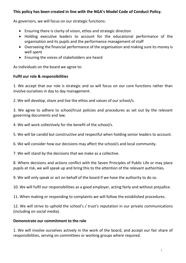## **This policy has been created in line with the NGA's Model Code of Conduct Policy.**

As governors, we will focus on our strategic functions:

- Ensuring there is clarity of vision, ethos and strategic direction
- Holding executive leaders to account for the educational performance of the organisation and its pupils and the performance management of staff
- Overseeing the financial performance of the organisation and making sure its money is well spent
- Ensuring the voices of stakeholders are heard

As individuals on the board we agree to:

## **Fulfil our role & responsibilities**

1. We accept that our role is strategic and so will focus on our core functions rather than involve ourselves in day to day management.

2. We will develop, share and live the ethos and values of our school/s.

3. We agree to adhere to school/trust policies and procedures as set out by the relevant governing documents and law.

4. We will work collectively for the benefit of the school/s.

5. We will be candid but constructive and respectful when holding senior leaders to account.

6. We will consider how our decisions may affect the school/s and local community.

7. We will stand by the decisions that we make as a collective.

8. Where decisions and actions conflict with the Seven Principles of Public Life or may place pupils at risk, we will speak up and bring this to the attention of the relevant authorities.

9. We will only speak or act on behalf of the board if we have the authority to do so.

10. We will fulfil our responsibilities as a good employer, acting fairly and without prejudice.

11. When making or responding to complaints we will follow the established procedures.

12. We will strive to uphold the school's / trust's reputation in our private communications (including on social media).

#### **Demonstrate our commitment to the role**

1. We will involve ourselves actively in the work of the board, and accept our fair share of responsibilities, serving on committees or working groups where required.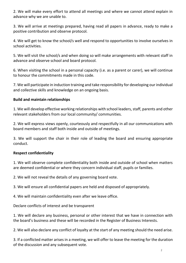2. We will make every effort to attend all meetings and where we cannot attend explain in advance why we are unable to.

3. We will arrive at meetings prepared, having read all papers in advance, ready to make a positive contribution and observe protocol.

4. We will get to know the school/s well and respond to opportunities to involve ourselves in school activities.

5. We will visit the school/s and when doing so will make arrangements with relevant staff in advance and observe school and board protocol.

6. When visiting the school in a personal capacity (i.e. as a parent or carer), we will continue to honour the commitments made in this code.

7. We will participate in induction training and take responsibility for developing our individual and collective skills and knowledge on an ongoing basis.

## **Build and maintain relationships**

1. We will develop effective working relationships with school leaders, staff, parents and other relevant stakeholders from our local community/ communities.

2. We will express views openly, courteously and respectfully in all our communications with board members and staff both inside and outside of meetings.

3. We will support the chair in their role of leading the board and ensuring appropriate conduct.

## **Respect confidentiality**

1. We will observe complete confidentiality both inside and outside of school when matters are deemed confidential or where they concern individual staff, pupils or families.

2. We will not reveal the details of any governing board vote.

3. We will ensure all confidential papers are held and disposed of appropriately.

4. We will maintain confidentiality even after we leave office.

Declare conflicts of interest and be transparent

1. We will declare any business, personal or other interest that we have in connection with the board's business and these will be recorded in the Register of Business Interests.

2. We will also declare any conflict of loyalty at the start of any meeting should the need arise.

3. If a conflicted matter arises in a meeting, we will offer to leave the meeting for the duration of the discussion and any subsequent vote.